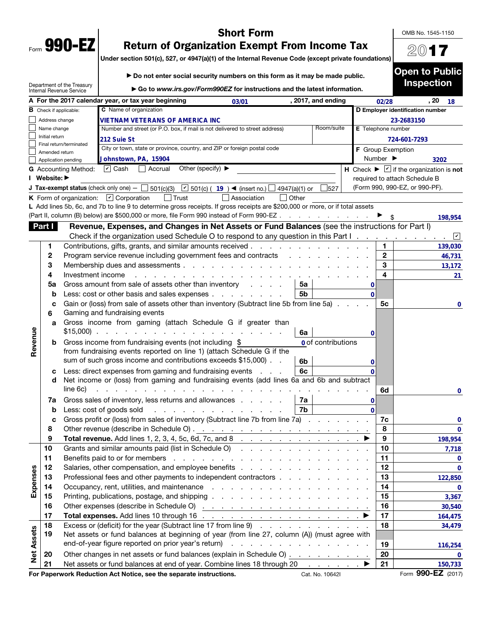|      | 990- |  |
|------|------|--|
| Form | v    |  |

 $\begin{bmatrix} 1 \\ 1 \\ 1 \end{bmatrix}$ 

# Short Form

OMB No. 1545-1150

2017

Open to Public

# Return of Organization Exempt From Income Tax

Under section 501(c), 527, or 4947(a)(1) of the Internal Revenue Code (except private foundations)

|                   |                                      | Department of the Treasury<br>Internal Revenue Service |                                                          |                                                          | Go to www.irs.gov/Form990EZ for instructions and the latest information.                                                      |                                                     |                    |                    |                              | <b>Inspection</b>                                                |                        |
|-------------------|--------------------------------------|--------------------------------------------------------|----------------------------------------------------------|----------------------------------------------------------|-------------------------------------------------------------------------------------------------------------------------------|-----------------------------------------------------|--------------------|--------------------|------------------------------|------------------------------------------------------------------|------------------------|
|                   |                                      |                                                        |                                                          | A For the 2017 calendar year, or tax year beginning      | 03/01                                                                                                                         |                                                     | , 2017, and ending |                    | 02/28                        | , 20                                                             | 18                     |
|                   | $\, {\bf B} \,$ Check if applicable: |                                                        | C Name of organization                                   |                                                          |                                                                                                                               |                                                     |                    |                    |                              | D Employer identification number                                 |                        |
|                   | Address change                       |                                                        |                                                          | VIETNAM VETERANS OF AMERICA INC                          |                                                                                                                               |                                                     |                    |                    |                              | 23-2683150                                                       |                        |
|                   | Name change                          |                                                        |                                                          |                                                          | Number and street (or P.O. box, if mail is not delivered to street address)                                                   |                                                     | Room/suite         | E Telephone number |                              |                                                                  |                        |
|                   | Initial return                       |                                                        | 212 Suie St                                              |                                                          |                                                                                                                               |                                                     |                    |                    |                              | 724-601-7293                                                     |                        |
|                   | Amended return                       | Final return/terminated                                |                                                          |                                                          | City or town, state or province, country, and ZIP or foreign postal code                                                      |                                                     |                    | F Group Exemption  |                              |                                                                  |                        |
|                   | Application pending                  |                                                        | Johnstown, PA, 15904                                     |                                                          |                                                                                                                               |                                                     |                    |                    | Number $\blacktriangleright$ |                                                                  | 3202                   |
|                   |                                      | <b>G</b> Accounting Method:                            | $\overline{\mathbf{v}}$ Cash                             | Other (specify) $\blacktriangleright$<br>Accrual         |                                                                                                                               |                                                     |                    |                    |                              | H Check $\blacktriangleright \square$ if the organization is not |                        |
|                   | Website: ▶                           |                                                        |                                                          |                                                          |                                                                                                                               |                                                     |                    |                    |                              | required to attach Schedule B                                    |                        |
|                   |                                      |                                                        |                                                          |                                                          | J Tax-exempt status (check only one) $ \Box$ 501(c)(3) $\boxed{V}$ 501(c) ( 19 ) < (insert no.) [                             | 4947(a)(1) or                                       | 527                |                    |                              | (Form 990, 990-EZ, or 990-PF).                                   |                        |
|                   |                                      |                                                        | K Form of organization: $\boxed{\mathbf{v}}$ Corporation | $\vert$ Trust                                            | Association                                                                                                                   | Other<br>$\perp$                                    |                    |                    |                              |                                                                  |                        |
|                   |                                      |                                                        |                                                          |                                                          | L Add lines 5b, 6c, and 7b to line 9 to determine gross receipts. If gross receipts are \$200,000 or more, or if total assets |                                                     |                    |                    |                              |                                                                  |                        |
|                   |                                      |                                                        |                                                          |                                                          | Part II, column (B) below) are \$500,000 or more, file Form 990 instead of Form 990-EZ                                        |                                                     |                    |                    |                              |                                                                  | 198,954                |
|                   | Part I                               |                                                        |                                                          |                                                          | Revenue, Expenses, and Changes in Net Assets or Fund Balances (see the instructions for Part I)                               |                                                     |                    |                    |                              |                                                                  |                        |
|                   |                                      |                                                        |                                                          |                                                          | Check if the organization used Schedule O to respond to any question in this Part I.                                          |                                                     |                    |                    |                              |                                                                  | $\vert\mathbf{v}\vert$ |
|                   | 1                                    |                                                        |                                                          |                                                          | Contributions, gifts, grants, and similar amounts received                                                                    |                                                     |                    |                    | 1                            |                                                                  | 139,030                |
|                   | 2                                    |                                                        |                                                          |                                                          | Program service revenue including government fees and contracts                                                               |                                                     |                    |                    | $\mathbf 2$                  |                                                                  | 46,731                 |
|                   | 3                                    |                                                        |                                                          |                                                          | Membership dues and assessments                                                                                               |                                                     |                    |                    | 3                            |                                                                  | 13,172                 |
|                   | 4                                    | Investment income                                      |                                                          |                                                          |                                                                                                                               |                                                     |                    |                    | 4                            |                                                                  |                        |
|                   | 5a                                   |                                                        |                                                          |                                                          | Gross amount from sale of assets other than inventory                                                                         | 5a                                                  |                    |                    |                              |                                                                  | 21                     |
|                   | b                                    |                                                        |                                                          |                                                          | Less: cost or other basis and sales expenses                                                                                  | 5 <sub>b</sub>                                      |                    | 0<br>$\Omega$      |                              |                                                                  |                        |
|                   |                                      |                                                        |                                                          |                                                          | Gain or (loss) from sale of assets other than inventory (Subtract line 5b from line 5a).                                      |                                                     |                    |                    | 5с                           |                                                                  |                        |
|                   | с                                    |                                                        | Gaming and fundraising events                            |                                                          |                                                                                                                               |                                                     |                    |                    |                              |                                                                  | 0                      |
|                   | 6                                    |                                                        |                                                          |                                                          | Gross income from gaming (attach Schedule G if greater than                                                                   |                                                     |                    |                    |                              |                                                                  |                        |
|                   | a                                    | $$15,000$ ).                                           |                                                          | a construction of the construction of the con-           |                                                                                                                               |                                                     |                    |                    |                              |                                                                  |                        |
| Revenue           |                                      |                                                        |                                                          |                                                          |                                                                                                                               | 6a                                                  |                    | 0                  |                              |                                                                  |                        |
|                   | b                                    |                                                        |                                                          | Gross income from fundraising events (not including \$   |                                                                                                                               |                                                     | 0 of contributions |                    |                              |                                                                  |                        |
|                   |                                      |                                                        |                                                          |                                                          | from fundraising events reported on line 1) (attach Schedule G if the                                                         |                                                     |                    |                    |                              |                                                                  |                        |
|                   |                                      |                                                        |                                                          |                                                          | sum of such gross income and contributions exceeds \$15,000).                                                                 | 6b                                                  |                    | 0                  |                              |                                                                  |                        |
|                   | с                                    |                                                        |                                                          | Less: direct expenses from gaming and fundraising events |                                                                                                                               | 6c<br><b>Carl Adams</b>                             |                    |                    |                              |                                                                  |                        |
|                   | d                                    |                                                        |                                                          |                                                          | Net income or (loss) from gaming and fundraising events (add lines 6a and 6b and subtract                                     |                                                     |                    |                    |                              |                                                                  |                        |
|                   |                                      | line 6c)                                               |                                                          |                                                          |                                                                                                                               |                                                     |                    |                    | 6d                           |                                                                  | 0                      |
|                   | 7а                                   |                                                        |                                                          |                                                          | Gross sales of inventory, less returns and allowances                                                                         | 7a                                                  |                    | 0                  |                              |                                                                  |                        |
|                   | b                                    |                                                        | Less: cost of goods sold                                 |                                                          | .                                                                                                                             | 7b                                                  |                    | $\Omega$           |                              |                                                                  |                        |
|                   | c                                    |                                                        |                                                          |                                                          | Gross profit or (loss) from sales of inventory (Subtract line 7b from line 7a)                                                |                                                     |                    |                    | 7c                           |                                                                  | 0                      |
|                   | 8                                    |                                                        |                                                          |                                                          |                                                                                                                               |                                                     |                    |                    | 8                            |                                                                  | 0                      |
|                   | 9                                    |                                                        |                                                          | Total revenue. Add lines 1, 2, 3, 4, 5c, 6d, 7c, and 8   |                                                                                                                               |                                                     |                    |                    | 9                            |                                                                  | 198,954                |
|                   | 10                                   |                                                        |                                                          |                                                          | Grants and similar amounts paid (list in Schedule O)                                                                          |                                                     |                    |                    | 10                           |                                                                  | 7,718                  |
|                   | 11                                   |                                                        |                                                          |                                                          |                                                                                                                               |                                                     |                    |                    | 11                           |                                                                  | 0                      |
|                   | 12                                   |                                                        |                                                          |                                                          | Salaries, other compensation, and employee benefits                                                                           |                                                     |                    |                    | 12                           |                                                                  | $\mathbf 0$            |
| Expenses          | 13                                   |                                                        |                                                          |                                                          | Professional fees and other payments to independent contractors                                                               |                                                     |                    |                    | 13                           |                                                                  | 122,850                |
|                   | 14                                   |                                                        |                                                          |                                                          |                                                                                                                               |                                                     |                    |                    | 14                           |                                                                  | 0                      |
|                   | 15                                   |                                                        |                                                          |                                                          |                                                                                                                               |                                                     |                    |                    | 15                           |                                                                  | 3,367                  |
|                   | 16                                   |                                                        |                                                          |                                                          |                                                                                                                               |                                                     |                    |                    | 16                           |                                                                  | 30,540                 |
|                   | 17                                   |                                                        |                                                          |                                                          |                                                                                                                               |                                                     |                    |                    | 17                           |                                                                  | 164,475                |
|                   | 18                                   |                                                        |                                                          |                                                          | Excess or (deficit) for the year (Subtract line 17 from line 9)                                                               |                                                     |                    |                    | 18                           |                                                                  | 34,479                 |
|                   | 19                                   |                                                        |                                                          |                                                          | Net assets or fund balances at beginning of year (from line 27, column (A)) (must agree with                                  |                                                     |                    |                    |                              |                                                                  |                        |
|                   |                                      |                                                        |                                                          | end-of-year figure reported on prior year's return)      |                                                                                                                               | and a series of the contract of the contract of the |                    |                    | 19                           |                                                                  | 116,254                |
| <b>Net Assets</b> | 20                                   |                                                        |                                                          |                                                          | Other changes in net assets or fund balances (explain in Schedule O)                                                          |                                                     |                    |                    | 20                           |                                                                  | 0                      |
|                   | 21                                   |                                                        |                                                          |                                                          | Net assets or fund balances at end of year. Combine lines 18 through 20                                                       |                                                     | and a state of the |                    | 21                           |                                                                  | 150,733                |
|                   |                                      |                                                        |                                                          |                                                          |                                                                                                                               |                                                     |                    |                    |                              |                                                                  |                        |

For Paperwork Reduction Act Notice, see the separate instructions. Cat. No. 10642I Form 990-EZ (2017)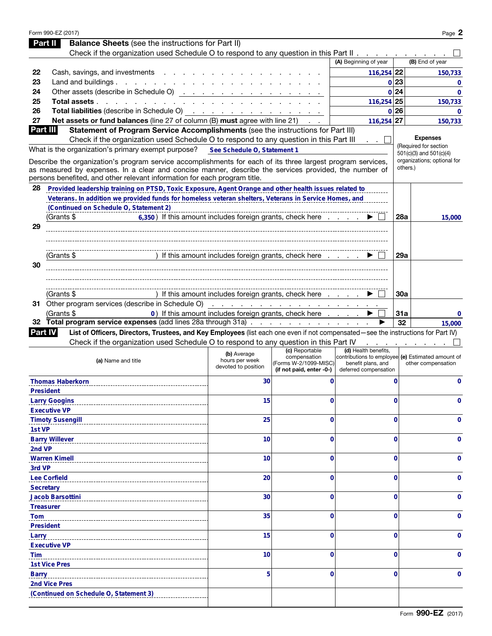| Part II          | Form 990-EZ (2017)<br><b>Balance Sheets</b> (see the instructions for Part II)                                                                                                     |                                                                                       |                                                                   |                                                                                                  |             | Page 2                                               |
|------------------|------------------------------------------------------------------------------------------------------------------------------------------------------------------------------------|---------------------------------------------------------------------------------------|-------------------------------------------------------------------|--------------------------------------------------------------------------------------------------|-------------|------------------------------------------------------|
|                  | Check if the organization used Schedule O to respond to any question in this Part II                                                                                               |                                                                                       |                                                                   |                                                                                                  |             |                                                      |
|                  |                                                                                                                                                                                    |                                                                                       |                                                                   | (A) Beginning of year                                                                            |             | (B) End of year                                      |
| 22               | Cash, savings, and investments                                                                                                                                                     |                                                                                       |                                                                   | $116,254$ 22                                                                                     |             | 150,733                                              |
| 23               | Land and buildings. $\ldots$ $\ldots$ $\ldots$ $\ldots$ $\ldots$ $\ldots$                                                                                                          |                                                                                       |                                                                   |                                                                                                  | 0 23        | $\Omega$                                             |
| 24               |                                                                                                                                                                                    |                                                                                       |                                                                   |                                                                                                  | 0 24        | $\bf{0}$                                             |
| 25               | Total assets                                                                                                                                                                       |                                                                                       |                                                                   | 116,254 25                                                                                       |             | 150,733                                              |
| 26               | <b>Total liabilities</b> (describe in Schedule O) $\cdots$ $\cdots$ $\cdots$ $\cdots$ $\cdots$ $\cdots$                                                                            |                                                                                       |                                                                   |                                                                                                  | 0 26        | 0                                                    |
| 27               | Net assets or fund balances (line 27 of column (B) must agree with line 21)                                                                                                        |                                                                                       |                                                                   | $116,254$ 27                                                                                     |             | 150,733                                              |
| Part III         | Statement of Program Service Accomplishments (see the instructions for Part III)                                                                                                   |                                                                                       |                                                                   |                                                                                                  |             |                                                      |
|                  | Check if the organization used Schedule O to respond to any question in this Part III                                                                                              |                                                                                       |                                                                   |                                                                                                  |             | <b>Expenses</b>                                      |
|                  | What is the organization's primary exempt purpose?                                                                                                                                 | See Schedule O, Statement 1                                                           |                                                                   |                                                                                                  |             | (Required for section<br>$501(c)(3)$ and $501(c)(4)$ |
|                  | Describe the organization's program service accomplishments for each of its three largest program services,                                                                        |                                                                                       |                                                                   |                                                                                                  |             | organizations; optional for                          |
|                  | as measured by expenses. In a clear and concise manner, describe the services provided, the number of<br>persons benefited, and other relevant information for each program title. |                                                                                       |                                                                   |                                                                                                  |             | others.)                                             |
| 28               | Provided leadership training on PTSD, Toxic Exposure, Agent Orange and other health issues related to                                                                              |                                                                                       |                                                                   |                                                                                                  |             |                                                      |
|                  | Veterans. In addition we provided funds for homeless veteran shelters, Veterans in Service Homes, and                                                                              |                                                                                       |                                                                   |                                                                                                  |             |                                                      |
|                  | (Continued on Schedule O, Statement 2)                                                                                                                                             |                                                                                       |                                                                   |                                                                                                  |             |                                                      |
|                  | (Grants \$<br>6,350) If this amount includes foreign grants, check here                                                                                                            |                                                                                       |                                                                   |                                                                                                  | <b>28a</b>  | 15,000                                               |
| 29               |                                                                                                                                                                                    |                                                                                       |                                                                   |                                                                                                  |             |                                                      |
|                  |                                                                                                                                                                                    |                                                                                       |                                                                   |                                                                                                  |             |                                                      |
|                  |                                                                                                                                                                                    |                                                                                       |                                                                   |                                                                                                  |             |                                                      |
|                  | (Grants \$                                                                                                                                                                         | ) If this amount includes foreign grants, check here                                  |                                                                   |                                                                                                  | 29a         |                                                      |
| 30               |                                                                                                                                                                                    |                                                                                       |                                                                   |                                                                                                  |             |                                                      |
|                  |                                                                                                                                                                                    |                                                                                       |                                                                   |                                                                                                  |             |                                                      |
|                  |                                                                                                                                                                                    |                                                                                       |                                                                   |                                                                                                  |             |                                                      |
|                  | (Grants \$                                                                                                                                                                         | ) If this amount includes foreign grants, check here $\ldots$ . $\blacktriangleright$ |                                                                   |                                                                                                  | <b>30a</b>  |                                                      |
|                  |                                                                                                                                                                                    |                                                                                       |                                                                   |                                                                                                  |             |                                                      |
|                  | (Grants \$<br>32 Total program service expenses (add lines 28a through 31a)                                                                                                        | 0) If this amount includes foreign grants, check here                                 |                                                                   |                                                                                                  | 31a<br>32   | 0                                                    |
| Part IV          | List of Officers, Directors, Trustees, and Key Employees (list each one even if not compensated-see the instructions for Part IV)                                                  |                                                                                       |                                                                   |                                                                                                  |             | 15,000                                               |
|                  | Check if the organization used Schedule O to respond to any question in this Part IV                                                                                               |                                                                                       |                                                                   |                                                                                                  |             |                                                      |
|                  |                                                                                                                                                                                    |                                                                                       | (c) Reportable                                                    | (d) Health benefits,                                                                             |             |                                                      |
|                  | (a) Name and title                                                                                                                                                                 | (b) Average<br>hours per week<br>devoted to position                                  | compensation<br>(Forms W-2/1099-MISC)<br>(if not paid, enter -0-) | contributions to employee (e) Estimated amount of<br>benefit plans, and<br>deferred compensation |             | other compensation                                   |
|                  | <b>Thomas Haberkorn</b>                                                                                                                                                            | 30                                                                                    | 0                                                                 |                                                                                                  | $\mathbf 0$ | $\mathbf 0$                                          |
|                  | <b>President</b>                                                                                                                                                                   |                                                                                       |                                                                   |                                                                                                  |             |                                                      |
|                  | <b>Larry Googins</b>                                                                                                                                                               | 15                                                                                    | 0                                                                 |                                                                                                  | $\Omega$    | 0                                                    |
|                  | <b>Executive VP</b>                                                                                                                                                                |                                                                                       |                                                                   |                                                                                                  |             |                                                      |
|                  | <b>Timoty Susengill</b>                                                                                                                                                            | 25                                                                                    | 0                                                                 |                                                                                                  | $\Omega$    | 0                                                    |
| 1st VP           |                                                                                                                                                                                    |                                                                                       |                                                                   |                                                                                                  |             |                                                      |
|                  | <b>Barry Willever</b>                                                                                                                                                              | 10                                                                                    | 0                                                                 |                                                                                                  | 0           | 0                                                    |
| 2nd VP           |                                                                                                                                                                                    |                                                                                       |                                                                   |                                                                                                  |             |                                                      |
|                  | <b>Warren Kimell</b>                                                                                                                                                               | 10                                                                                    | 0                                                                 |                                                                                                  | 0           | 0                                                    |
| 3rd VP           |                                                                                                                                                                                    |                                                                                       |                                                                   |                                                                                                  |             |                                                      |
|                  | <b>Lee Corfield</b>                                                                                                                                                                | 20                                                                                    | 0                                                                 |                                                                                                  | 0           | 0                                                    |
| <b>Secretary</b> |                                                                                                                                                                                    |                                                                                       |                                                                   |                                                                                                  |             |                                                      |
|                  | <b>Jacob Barsottini</b>                                                                                                                                                            | 30                                                                                    | 0                                                                 |                                                                                                  | 0           | 0                                                    |
|                  | <b>Treasurer</b>                                                                                                                                                                   |                                                                                       |                                                                   |                                                                                                  |             |                                                      |
| <b>Tom</b>       |                                                                                                                                                                                    | 35                                                                                    | 0                                                                 |                                                                                                  | 0           | 0                                                    |
|                  | <b>President</b>                                                                                                                                                                   |                                                                                       |                                                                   |                                                                                                  |             |                                                      |
| Larry            |                                                                                                                                                                                    | 15                                                                                    | 0                                                                 |                                                                                                  | 0           | 0                                                    |
|                  | <b>Executive VP</b>                                                                                                                                                                |                                                                                       |                                                                   |                                                                                                  |             |                                                      |
| <b>Tim</b>       |                                                                                                                                                                                    | 10                                                                                    | 0                                                                 |                                                                                                  | 0           | 0                                                    |
|                  | <b>1st Vice Pres</b>                                                                                                                                                               |                                                                                       |                                                                   |                                                                                                  |             |                                                      |
| <b>Barry</b>     |                                                                                                                                                                                    | 5                                                                                     | 0                                                                 |                                                                                                  | $\Omega$    | 0                                                    |
|                  | 2nd Vice Pres<br>(Continued on Schedule O, Statement 3)                                                                                                                            |                                                                                       |                                                                   |                                                                                                  |             |                                                      |
|                  |                                                                                                                                                                                    |                                                                                       |                                                                   |                                                                                                  |             |                                                      |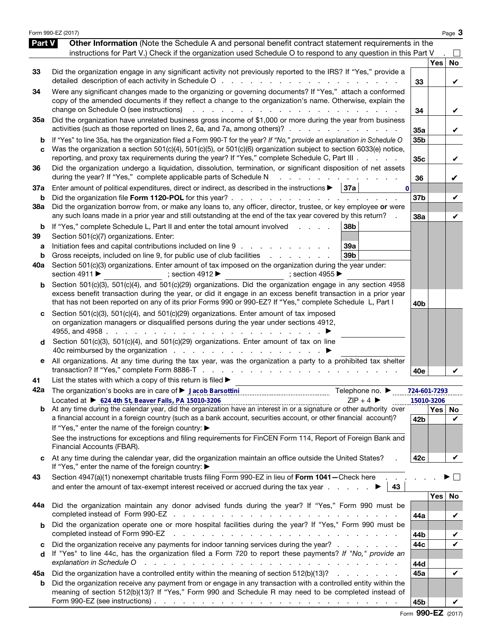|                          | Form 990-EZ (2017)                                                                                                                                                                                                                                                                                                                                                                                                                                                                                                                                          |                        |            | Page 3        |
|--------------------------|-------------------------------------------------------------------------------------------------------------------------------------------------------------------------------------------------------------------------------------------------------------------------------------------------------------------------------------------------------------------------------------------------------------------------------------------------------------------------------------------------------------------------------------------------------------|------------------------|------------|---------------|
| Part V                   | Other Information (Note the Schedule A and personal benefit contract statement requirements in the<br>instructions for Part V.) Check if the organization used Schedule O to respond to any question in this Part V                                                                                                                                                                                                                                                                                                                                         |                        |            |               |
| 33                       | Did the organization engage in any significant activity not previously reported to the IRS? If "Yes," provide a                                                                                                                                                                                                                                                                                                                                                                                                                                             | 33                     | Yes        | No<br>V       |
| 34                       | Were any significant changes made to the organizing or governing documents? If "Yes," attach a conformed<br>copy of the amended documents if they reflect a change to the organization's name. Otherwise, explain the<br>change on Schedule O (see instructions)<br><u>.</u><br><b>Service</b> State                                                                                                                                                                                                                                                        | 34                     |            | V             |
| 35a                      | Did the organization have unrelated business gross income of \$1,000 or more during the year from business<br>activities (such as those reported on lines 2, 6a, and 7a, among others)?                                                                                                                                                                                                                                                                                                                                                                     | 35a                    |            | V             |
| b<br>c                   | If "Yes" to line 35a, has the organization filed a Form 990-T for the year? If "No," provide an explanation in Schedule O<br>Was the organization a section 501(c)(4), 501(c)(5), or 501(c)(6) organization subject to section 6033(e) notice,<br>reporting, and proxy tax requirements during the year? If "Yes," complete Schedule C, Part III                                                                                                                                                                                                            | 35b<br>35 <sub>c</sub> |            | V             |
| 36                       | Did the organization undergo a liquidation, dissolution, termination, or significant disposition of net assets<br>during the year? If "Yes," complete applicable parts of Schedule N<br>and a strategic and                                                                                                                                                                                                                                                                                                                                                 | 36                     |            | V             |
| 37a<br>b                 | Enter amount of political expenditures, direct or indirect, as described in the instructions $\blacktriangleright$   37a  <br>$\mathbf{0}$<br>Did the organization file Form 1120-POL for this year?                                                                                                                                                                                                                                                                                                                                                        | 37 <sub>b</sub>        |            | V             |
| 38a                      | Did the organization borrow from, or make any loans to, any officer, director, trustee, or key employee or were<br>any such loans made in a prior year and still outstanding at the end of the tax year covered by this return?                                                                                                                                                                                                                                                                                                                             | 38a                    |            | V             |
| b<br>39<br>а<br>b<br>40a | If "Yes," complete Schedule L, Part II and enter the total amount involved<br>38 <sub>b</sub><br>Section 501(c)(7) organizations. Enter:<br>Initiation fees and capital contributions included on line 9<br>39a<br>Gross receipts, included on line 9, for public use of club facilities<br>39 <sub>b</sub><br>the contract of the contract of<br>Section 501(c)(3) organizations. Enter amount of tax imposed on the organization during the year under:<br>section 4911 ▶<br>; section 4912 $\blacktriangleright$<br>; section 4955 $\blacktriangleright$ |                        |            |               |
| b                        | Section 501(c)(3), 501(c)(4), and 501(c)(29) organizations. Did the organization engage in any section 4958<br>excess benefit transaction during the year, or did it engage in an excess benefit transaction in a prior year<br>that has not been reported on any of its prior Forms 990 or 990-EZ? If "Yes," complete Schedule L, Part I                                                                                                                                                                                                                   | 40 <sub>b</sub>        |            |               |
| c<br>d                   | Section 501(c)(3), 501(c)(4), and 501(c)(29) organizations. Enter amount of tax imposed<br>on organization managers or disqualified persons during the year under sections 4912,<br>4955, and 4958.<br>the contract of the contract of the<br>Section 501(c)(3), 501(c)(4), and 501(c)(29) organizations. Enter amount of tax on line                                                                                                                                                                                                                       |                        |            |               |
| е                        | All organizations. At any time during the tax year, was the organization a party to a prohibited tax shelter                                                                                                                                                                                                                                                                                                                                                                                                                                                |                        |            |               |
| 41                       | List the states with which a copy of this return is filed >                                                                                                                                                                                                                                                                                                                                                                                                                                                                                                 | 40e                    |            |               |
| 42a                      | Telephone no. ▶                                                                                                                                                                                                                                                                                                                                                                                                                                                                                                                                             | 724-601-7293           |            |               |
|                          | $ZIP + 4$<br>Located at ▶ 624 4th St, Beaver Falls, PA 15010-3206<br>Located at $\blacktriangleright$ 024 4th St, Beaver Faus, PA 15010-3206<br>b At any time during the calendar year, did the organization have an interest in or a signature or other authority over                                                                                                                                                                                                                                                                                     |                        | 15010-3206 |               |
|                          | a financial account in a foreign country (such as a bank account, securities account, or other financial account)?<br>If "Yes," enter the name of the foreign country: ▶                                                                                                                                                                                                                                                                                                                                                                                    | 42b                    |            | Yes   No<br>V |
|                          | See the instructions for exceptions and filing requirements for FinCEN Form 114, Report of Foreign Bank and<br>Financial Accounts (FBAR).                                                                                                                                                                                                                                                                                                                                                                                                                   |                        |            |               |
| c                        | At any time during the calendar year, did the organization maintain an office outside the United States?<br>If "Yes," enter the name of the foreign country: ▶                                                                                                                                                                                                                                                                                                                                                                                              | 42c                    |            | V             |
| 43                       | Section 4947(a)(1) nonexempt charitable trusts filing Form 990-EZ in lieu of Form 1041-Check here<br>and enter the amount of tax-exempt interest received or accrued during the tax year $\ldots$<br>43                                                                                                                                                                                                                                                                                                                                                     |                        |            |               |
| 44а                      | Did the organization maintain any donor advised funds during the year? If "Yes," Form 990 must be                                                                                                                                                                                                                                                                                                                                                                                                                                                           |                        | Yes        | No            |
|                          | completed instead of Form 990-EZ<br>and a series of the contract of the contract of the contract of the contract of the contract of the contract of                                                                                                                                                                                                                                                                                                                                                                                                         | 44a                    |            | V             |
| b                        | Did the organization operate one or more hospital facilities during the year? If "Yes," Form 990 must be<br>completed instead of Form 990-EZ<br>and a construction of the construction of the construction of the construction of the construction of the construction of the construction of the construction of the construction of the construction of the construction of                                                                                                                                                                               | 44b                    |            | V             |
| C<br>d                   | Did the organization receive any payments for indoor tanning services during the year?<br>If "Yes" to line 44c, has the organization filed a Form 720 to report these payments? If "No," provide an<br>explanation in Schedule O                                                                                                                                                                                                                                                                                                                            | 44c<br>44d             |            | V             |
| 45а                      | Did the organization have a controlled entity within the meaning of section 512(b)(13)?                                                                                                                                                                                                                                                                                                                                                                                                                                                                     | 45a                    |            | V             |
| b                        | Did the organization receive any payment from or engage in any transaction with a controlled entity within the<br>meaning of section 512(b)(13)? If "Yes," Form 990 and Schedule R may need to be completed instead of<br>Form 990-EZ (see instructions) $\ldots$ $\ldots$ $\ldots$ $\ldots$ $\ldots$ $\ldots$ $\ldots$ $\ldots$ $\ldots$ $\ldots$ $\ldots$                                                                                                                                                                                                 | 45b                    |            |               |

Form 990-EZ (2017)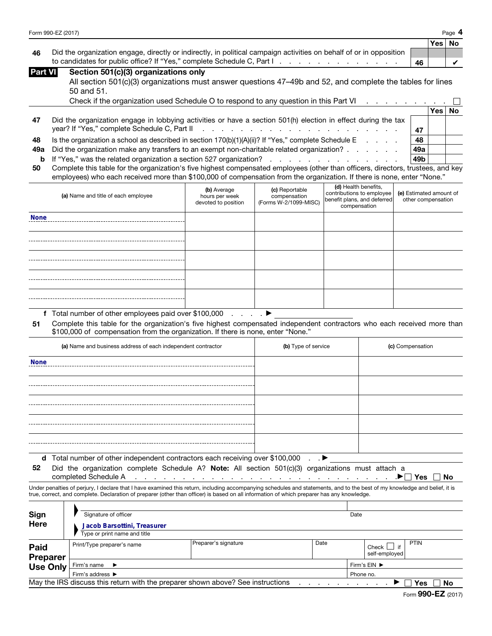| Form 990-EZ (2017) | Page<br>$\mathbf{u}$ |
|--------------------|----------------------|
|--------------------|----------------------|

|     |                                                                                                                     |    | Yes   No |  |
|-----|---------------------------------------------------------------------------------------------------------------------|----|----------|--|
| -46 | Did the organization engage, directly or indirectly, in political campaign activities on behalf of or in opposition |    |          |  |
|     |                                                                                                                     | 46 |          |  |

| Part VII |  |  | Section 501(c)(3) organizations only |  |
|----------|--|--|--------------------------------------|--|
|----------|--|--|--------------------------------------|--|

| All section 501(c)(3) organizations must answer questions 47-49b and 52, and complete the tables for lines |  |
|------------------------------------------------------------------------------------------------------------|--|
| 50 and 51.                                                                                                 |  |

|    | Check if the organization used Schedule O to respond to any question in this Part VI                                                                                                                                         |     |       |    |
|----|------------------------------------------------------------------------------------------------------------------------------------------------------------------------------------------------------------------------------|-----|-------|----|
|    |                                                                                                                                                                                                                              |     | Yes l | No |
| 47 | Did the organization engage in lobbying activities or have a section 501(h) election in effect during the tax                                                                                                                |     |       |    |
|    |                                                                                                                                                                                                                              | 47  |       |    |
| 48 | Is the organization a school as described in section $170(b)(1)(A)(ii)$ ? If "Yes," complete Schedule E                                                                                                                      | 48  |       |    |
|    | <b>49a</b> Did the organization make any transfers to an exempt non-charitable related organization?                                                                                                                         | 49a |       |    |
|    |                                                                                                                                                                                                                              | 49b |       |    |
|    | . The set of the contract of the contract of the contract of the contract of the contract of the contract of the contract of the contract of the contract of the contract of the contract of the contract of the contract of |     |       |    |

| 50 Complete this table for the organization's five highest compensated employees (other than officers, directors, trustees, and key |
|-------------------------------------------------------------------------------------------------------------------------------------|
| employees) who each received more than \$100,000 of compensation from the organization. If there is none, enter "None."             |

|             | to candidates for public office? If "Yes," complete Schedule C, Part I. A. A. A. A. A. A. A. A. A. A.                                                                                                                                                                         |                               |                                              |                      |                                                          | 46                                            |     | ✓         |  |
|-------------|-------------------------------------------------------------------------------------------------------------------------------------------------------------------------------------------------------------------------------------------------------------------------------|-------------------------------|----------------------------------------------|----------------------|----------------------------------------------------------|-----------------------------------------------|-----|-----------|--|
| Part VI     | Section 501(c)(3) organizations only                                                                                                                                                                                                                                          |                               |                                              |                      |                                                          |                                               |     |           |  |
|             | All section 501(c)(3) organizations must answer questions 47–49b and 52, and complete the tables for lines                                                                                                                                                                    |                               |                                              |                      |                                                          |                                               |     |           |  |
|             | 50 and 51.                                                                                                                                                                                                                                                                    |                               |                                              |                      |                                                          |                                               |     |           |  |
|             | Check if the organization used Schedule O to respond to any question in this Part VI                                                                                                                                                                                          |                               |                                              |                      |                                                          |                                               |     |           |  |
|             |                                                                                                                                                                                                                                                                               |                               |                                              |                      |                                                          |                                               | Yes | <b>No</b> |  |
| 47          | Did the organization engage in lobbying activities or have a section 501(h) election in effect during the tax                                                                                                                                                                 |                               |                                              |                      |                                                          |                                               |     |           |  |
|             | year? If "Yes," complete Schedule C, Part II<br>a construction of the construction of the construction of the construction of the construction of the construction of the construction of the construction of the construction of the construction of the construction of the |                               |                                              |                      |                                                          |                                               |     |           |  |
| 48          | Is the organization a school as described in section 170(b)(1)(A)(ii)? If "Yes," complete Schedule E                                                                                                                                                                          |                               |                                              |                      |                                                          | 48                                            |     |           |  |
| 49a         | Did the organization make any transfers to an exempt non-charitable related organization?                                                                                                                                                                                     |                               |                                              |                      |                                                          | 49a                                           |     |           |  |
| b           | If "Yes," was the related organization a section 527 organization?                                                                                                                                                                                                            |                               | and the contract of the contract of the con- |                      |                                                          | 49 <sub>b</sub>                               |     |           |  |
| 50          | Complete this table for the organization's five highest compensated employees (other than officers, directors, trustees, and key                                                                                                                                              |                               |                                              |                      |                                                          |                                               |     |           |  |
|             | employees) who each received more than \$100,000 of compensation from the organization. If there is none, enter "None."                                                                                                                                                       |                               |                                              |                      |                                                          |                                               |     |           |  |
|             | (a) Name and title of each employee                                                                                                                                                                                                                                           | (b) Average<br>hours per week | (c) Reportable<br>compensation               | (d) Health benefits, | contributions to employee<br>benefit plans, and deferred | (e) Estimated amount of<br>other compensation |     |           |  |
|             |                                                                                                                                                                                                                                                                               | devoted to position           | (Forms W-2/1099-MISC)                        | compensation         |                                                          |                                               |     |           |  |
| <b>None</b> |                                                                                                                                                                                                                                                                               |                               |                                              |                      |                                                          |                                               |     |           |  |
|             |                                                                                                                                                                                                                                                                               |                               |                                              |                      |                                                          |                                               |     |           |  |
|             |                                                                                                                                                                                                                                                                               |                               |                                              |                      |                                                          |                                               |     |           |  |
|             |                                                                                                                                                                                                                                                                               |                               |                                              |                      |                                                          |                                               |     |           |  |
|             |                                                                                                                                                                                                                                                                               |                               |                                              |                      |                                                          |                                               |     |           |  |
|             |                                                                                                                                                                                                                                                                               |                               |                                              |                      |                                                          |                                               |     |           |  |
|             |                                                                                                                                                                                                                                                                               |                               |                                              |                      |                                                          |                                               |     |           |  |
|             |                                                                                                                                                                                                                                                                               |                               |                                              |                      |                                                          |                                               |     |           |  |
|             |                                                                                                                                                                                                                                                                               |                               |                                              |                      |                                                          |                                               |     |           |  |
|             |                                                                                                                                                                                                                                                                               |                               |                                              |                      |                                                          |                                               |     |           |  |
|             | f Total number of other employees paid over \$100,000                                                                                                                                                                                                                         | and a state of                |                                              |                      |                                                          |                                               |     |           |  |
| 51          | Complete this table for the organization's five highest compensated independent contractors who each received more than<br>\$100,000 of compensation from the organization. If there is none, enter "None."                                                                   |                               |                                              |                      |                                                          |                                               |     |           |  |
|             | (a) Name and business address of each independent contractor                                                                                                                                                                                                                  |                               | (b) Type of service                          |                      |                                                          | (c) Compensation                              |     |           |  |
| <b>None</b> |                                                                                                                                                                                                                                                                               |                               |                                              |                      |                                                          |                                               |     |           |  |

| (a) Name and business address of each independent contractor                                                                                                                                                               | (b) Type of service | (c) Compensation |
|----------------------------------------------------------------------------------------------------------------------------------------------------------------------------------------------------------------------------|---------------------|------------------|
| <b>None</b>                                                                                                                                                                                                                |                     |                  |
|                                                                                                                                                                                                                            |                     |                  |
|                                                                                                                                                                                                                            |                     |                  |
|                                                                                                                                                                                                                            |                     |                  |
|                                                                                                                                                                                                                            |                     |                  |
| <b>d</b> Total number of other independent contractors each receiving over \$100,000 $\blacksquare$<br>الموارد والمستحدث المنافس والمستحدث والمستحدث والمستحدث والمستحدث والمستحدث والمستحدث والمستحدث والمستحدث والمستحدث |                     |                  |

52 Did the organization complete Schedule A? Note: All section 501(c)(3) organizations must attach a

completed Schedule A . . . . . . . . . . . . . . . . . . . . . . . . . . . .▶ Yes No

Under penalties of perjury, I declare that I have examined this return, including accompanying schedules and statements, and to the best of my knowledge and belief, it is true, correct, and complete. Declaration of preparer (other than officer) is based on all information of which preparer has any knowledge.

| Sign<br>Here                                                                                 | Signature of officer<br>Jacob Barsottini, Treasurer |                      |              | Date |                                 |             |  |
|----------------------------------------------------------------------------------------------|-----------------------------------------------------|----------------------|--------------|------|---------------------------------|-------------|--|
|                                                                                              | Type or print name and title                        |                      |              |      |                                 |             |  |
| Paid<br><b>Preparer</b>                                                                      | Print/Type preparer's name                          | Preparer's signature | Date         |      | $Check$ $\Box$<br>self-employed | <b>PTIN</b> |  |
| <b>Use Only</b>                                                                              | Firm's name                                         |                      | Firm's EIN ▶ |      |                                 |             |  |
|                                                                                              | Firm's address ▶                                    |                      | Phone no.    |      |                                 |             |  |
| May the IRS discuss this return with the preparer shown above? See instructions<br>Yes<br>No |                                                     |                      |              |      |                                 |             |  |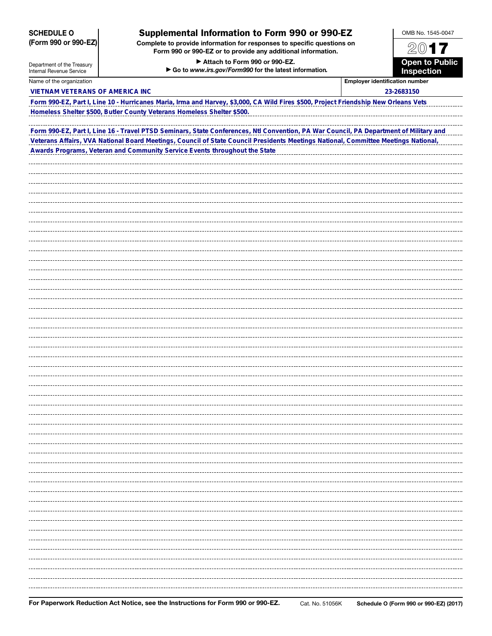| <b>SCHEDULE O</b>                                      | Supplemental Information to Form 990 or 990-EZ                                                                                         |                                            | OMB No. 1545-0047 |  |
|--------------------------------------------------------|----------------------------------------------------------------------------------------------------------------------------------------|--------------------------------------------|-------------------|--|
| (Form 990 or 990-EZ)                                   | Complete to provide information for responses to specific questions on<br>Form 990 or 990-EZ or to provide any additional information. |                                            |                   |  |
| Department of the Treasury<br>Internal Revenue Service |                                                                                                                                        | <b>Open to Public</b><br><b>Inspection</b> |                   |  |
| Name of the organization                               |                                                                                                                                        | <b>Employer identification number</b>      |                   |  |
| <b>VIETNAM VETERANS OF AMERICA INC</b>                 |                                                                                                                                        |                                            | 23-2683150        |  |
|                                                        | Form 990-EZ, Part I, Line 10 - Hurricanes Maria, Irma and Harvey, \$3,000, CA Wild Fires \$500, Project Friendship New Orleans Vets    |                                            |                   |  |
|                                                        | Homeless Shelter \$500, Butler County Veterans Homeless Shelter \$500.                                                                 |                                            |                   |  |
|                                                        | Form 990-EZ, Part I, Line 16 - Travel PTSD Seminars, State Conferences, Ntl Convention, PA War Council, PA Department of Military and  |                                            |                   |  |
|                                                        | Veterans Affairs, VVA National Board Meetings, Council of State Council Presidents Meetings National, Committee Meetings National,     |                                            |                   |  |
|                                                        | Awards Programs, Veteran and Community Service Events throughout the State                                                             |                                            |                   |  |
|                                                        |                                                                                                                                        |                                            |                   |  |
|                                                        |                                                                                                                                        |                                            |                   |  |
|                                                        |                                                                                                                                        |                                            |                   |  |
|                                                        |                                                                                                                                        |                                            |                   |  |
|                                                        |                                                                                                                                        |                                            |                   |  |
|                                                        |                                                                                                                                        |                                            |                   |  |
|                                                        |                                                                                                                                        |                                            |                   |  |
|                                                        |                                                                                                                                        |                                            |                   |  |
|                                                        |                                                                                                                                        |                                            |                   |  |
|                                                        |                                                                                                                                        |                                            |                   |  |
|                                                        |                                                                                                                                        |                                            |                   |  |
|                                                        |                                                                                                                                        |                                            |                   |  |
|                                                        |                                                                                                                                        |                                            |                   |  |
|                                                        |                                                                                                                                        |                                            |                   |  |
|                                                        |                                                                                                                                        |                                            |                   |  |
|                                                        |                                                                                                                                        |                                            |                   |  |
|                                                        |                                                                                                                                        |                                            |                   |  |
|                                                        |                                                                                                                                        |                                            |                   |  |
|                                                        |                                                                                                                                        |                                            |                   |  |
|                                                        |                                                                                                                                        |                                            |                   |  |
|                                                        |                                                                                                                                        |                                            |                   |  |
|                                                        |                                                                                                                                        |                                            |                   |  |
|                                                        |                                                                                                                                        |                                            |                   |  |
|                                                        |                                                                                                                                        |                                            |                   |  |
|                                                        |                                                                                                                                        |                                            |                   |  |
|                                                        |                                                                                                                                        |                                            |                   |  |
|                                                        |                                                                                                                                        |                                            |                   |  |
|                                                        |                                                                                                                                        |                                            |                   |  |
|                                                        |                                                                                                                                        |                                            |                   |  |
|                                                        |                                                                                                                                        |                                            |                   |  |
|                                                        |                                                                                                                                        |                                            |                   |  |
|                                                        |                                                                                                                                        |                                            |                   |  |
|                                                        |                                                                                                                                        |                                            |                   |  |
|                                                        |                                                                                                                                        |                                            |                   |  |
|                                                        |                                                                                                                                        |                                            |                   |  |

## For Paperwork Reduction Act Notice, see the Instructions for Form 990 or 990-EZ. Cat. No. 51056K Schedule O (Form 990 or 990-EZ) (2017)

. . . .

-------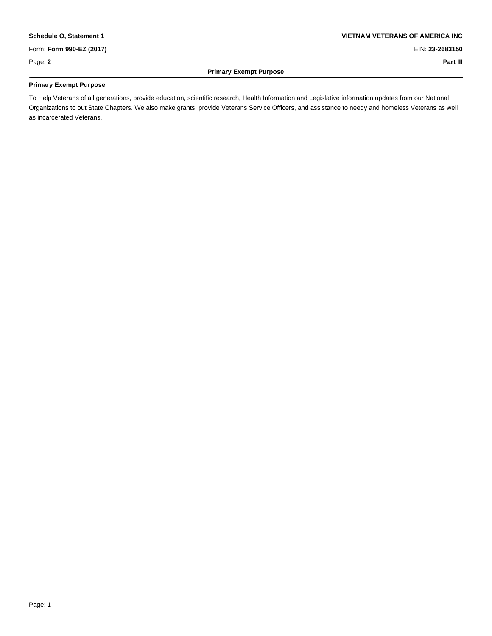# **Schedule O, Statement 1 VIETNAM VETERANS OF AMERICA INC**

Form: **Form 990-EZ (2017)** EIN: **23-2683150**

**Primary Exempt Purpose** \_

### Page: **2 Part III**

\_

### **Primary Exempt Purpose**

To Help Veterans of all generations, provide education, scientific research, Health Information and Legislative information updates from our National Organizations to out State Chapters. We also make grants, provide Veterans Service Officers, and assistance to needy and homeless Veterans as well as incarcerated Veterans.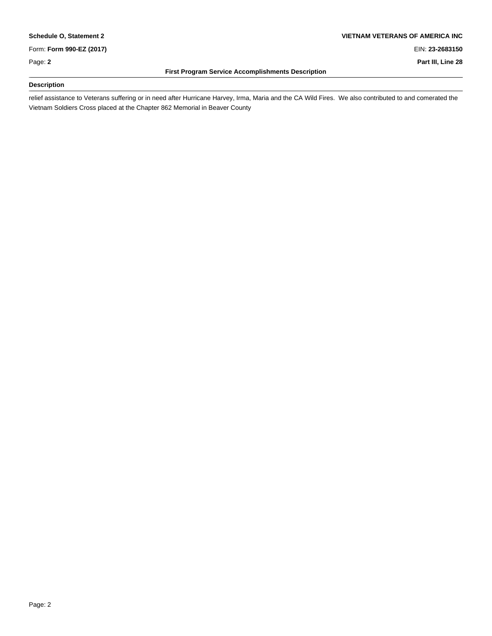Form: **Form 990-EZ (2017)** EIN: **23-2683150**

\_

\_

## **Schedule O, Statement 2 VIETNAM VETERANS OF AMERICA INC**

Page: 2 **Page: 2 Part III, Line 28** 

### **First Program Service Accomplishments Description**

### **Description**

relief assistance to Veterans suffering or in need after Hurricane Harvey, Irma, Maria and the CA Wild Fires. We also contributed to and comerated the Vietnam Soldiers Cross placed at the Chapter 862 Memorial in Beaver County